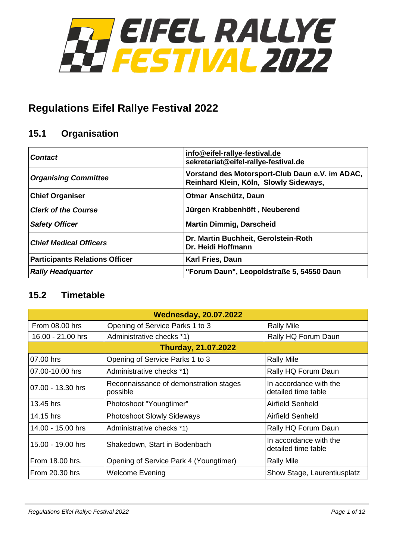

# **Regulations Eifel Rallye Festival 2022**

# **15.1 Organisation**

| <b>Contact</b>                        | info@eifel-rallye-festival.de<br>sekretariat@eifel-rallye-festival.de                     |  |
|---------------------------------------|-------------------------------------------------------------------------------------------|--|
| <b>Organising Committee</b>           | Vorstand des Motorsport-Club Daun e.V. im ADAC,<br>Reinhard Klein, Köln, Slowly Sideways, |  |
| <b>Chief Organiser</b>                | Otmar Anschütz, Daun                                                                      |  |
| <b>Clerk of the Course</b>            | Jürgen Krabbenhöft, Neuberend                                                             |  |
| <b>Safety Officer</b>                 | <b>Martin Dimmig, Darscheid</b>                                                           |  |
| <b>Chief Medical Officers</b>         | Dr. Martin Buchheit, Gerolstein-Roth<br>Dr. Heidi Hoffmann                                |  |
| <b>Participants Relations Officer</b> | <b>Karl Fries, Daun</b>                                                                   |  |
| <b>Rally Headquarter</b>              | "Forum Daun", Leopoldstraße 5, 54550 Daun                                                 |  |

# **15.2 Timetable**

| <b>Wednesday, 20.07.2022</b> |                                                    |                                               |  |  |
|------------------------------|----------------------------------------------------|-----------------------------------------------|--|--|
| From 08.00 hrs               | Opening of Service Parks 1 to 3                    | <b>Rally Mile</b>                             |  |  |
| 16.00 - 21.00 hrs            | Administrative checks *1)                          | Rally HQ Forum Daun                           |  |  |
| <b>Thurday, 21.07.2022</b>   |                                                    |                                               |  |  |
| 07.00 hrs                    | Opening of Service Parks 1 to 3                    | <b>Rally Mile</b>                             |  |  |
| 07.00-10.00 hrs              | Administrative checks *1)                          | Rally HQ Forum Daun                           |  |  |
| 07.00 - 13.30 hrs            | Reconnaissance of demonstration stages<br>possible | In accordance with the<br>detailed time table |  |  |
| 13.45 hrs                    | Photoshoot "Youngtimer"                            | Airfield Senheld                              |  |  |
| 14.15 hrs                    | <b>Photoshoot Slowly Sideways</b>                  | <b>Airfield Senheld</b>                       |  |  |
| 14.00 - 15.00 hrs            | Administrative checks *1)                          | Rally HQ Forum Daun                           |  |  |
| 15.00 - 19.00 hrs            | Shakedown, Start in Bodenbach                      | In accordance with the<br>detailed time table |  |  |
| From 18.00 hrs.              | Opening of Service Park 4 (Youngtimer)             | <b>Rally Mile</b>                             |  |  |
| <b>From 20.30 hrs</b>        | <b>Welcome Evening</b>                             | Show Stage, Laurentiusplatz                   |  |  |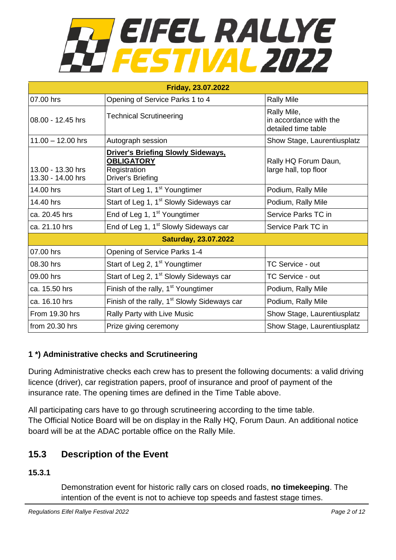# **TEIFEL RALLYE<br>FESTIVAL 2022**

| <b>Friday, 23.07.2022</b>              |                                                                                                     |                                                              |  |  |
|----------------------------------------|-----------------------------------------------------------------------------------------------------|--------------------------------------------------------------|--|--|
| 07.00 hrs                              | Opening of Service Parks 1 to 4                                                                     | <b>Rally Mile</b>                                            |  |  |
| 08.00 - 12.45 hrs                      | <b>Technical Scrutineering</b>                                                                      | Rally Mile,<br>in accordance with the<br>detailed time table |  |  |
| $11.00 - 12.00$ hrs                    | Autograph session                                                                                   | Show Stage, Laurentiusplatz                                  |  |  |
| 13.00 - 13.30 hrs<br>13.30 - 14.00 hrs | <b>Driver's Briefing Slowly Sideways.</b><br><b>OBLIGATORY</b><br>Registration<br>Driver's Briefing | Rally HQ Forum Daun,<br>large hall, top floor                |  |  |
| 14.00 hrs                              | Start of Leg 1, 1 <sup>st</sup> Youngtimer                                                          | Podium, Rally Mile                                           |  |  |
| 14.40 hrs                              | Start of Leg 1, 1 <sup>st</sup> Slowly Sideways car                                                 | Podium, Rally Mile                                           |  |  |
| ca. 20.45 hrs                          | End of Leg 1, 1 <sup>st</sup> Youngtimer                                                            | Service Parks TC in                                          |  |  |
| ca. 21.10 hrs                          | End of Leg 1, 1 <sup>st</sup> Slowly Sideways car                                                   | Service Park TC in                                           |  |  |
| <b>Saturday, 23.07.2022</b>            |                                                                                                     |                                                              |  |  |
| 07.00 hrs                              | Opening of Service Parks 1-4                                                                        |                                                              |  |  |
| 08.30 hrs                              | Start of Leg 2, 1 <sup>st</sup> Youngtimer                                                          | TC Service - out                                             |  |  |
| 09.00 hrs                              | Start of Leg 2, 1 <sup>st</sup> Slowly Sideways car                                                 | <b>TC Service - out</b>                                      |  |  |
| ca. 15.50 hrs                          | Finish of the rally, 1 <sup>st</sup> Youngtimer                                                     | Podium, Rally Mile                                           |  |  |
| ca. 16.10 hrs                          | Finish of the rally, 1 <sup>st</sup> Slowly Sideways car                                            | Podium, Rally Mile                                           |  |  |
| From 19.30 hrs                         | Rally Party with Live Music                                                                         | Show Stage, Laurentiusplatz                                  |  |  |
| from 20.30 hrs                         | Prize giving ceremony                                                                               | Show Stage, Laurentiusplatz                                  |  |  |

# **1 \*) Administrative checks and Scrutineering**

During Administrative checks each crew has to present the following documents: a valid driving licence (driver), car registration papers, proof of insurance and proof of payment of the insurance rate. The opening times are defined in the Time Table above.

All participating cars have to go through scrutineering according to the time table. The Official Notice Board will be on display in the Rally HQ, Forum Daun. An additional notice board will be at the ADAC portable office on the Rally Mile.

# **15.3 Description of the Event**

**15.3.1**

Demonstration event for historic rally cars on closed roads, **no timekeeping**. The intention of the event is not to achieve top speeds and fastest stage times.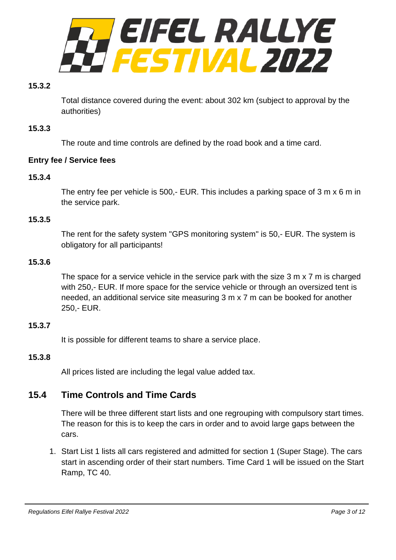

#### **15.3.2**

Total distance covered during the event: about 302 km (subject to approval by the authorities)

#### **15.3.3**

The route and time controls are defined by the road book and a time card.

#### **Entry fee / Service fees**

#### **15.3.4**

The entry fee per vehicle is 500,- EUR. This includes a parking space of 3 m x 6 m in the service park.

#### **15.3.5**

The rent for the safety system "GPS monitoring system" is 50,- EUR. The system is obligatory for all participants!

#### **15.3.6**

The space for a service vehicle in the service park with the size 3 m x 7 m is charged with 250,- EUR. If more space for the service vehicle or through an oversized tent is needed, an additional service site measuring 3 m x 7 m can be booked for another 250,- EUR.

#### **15.3.7**

It is possible for different teams to share a service place.

#### **15.3.8**

All prices listed are including the legal value added tax.

# **15.4 Time Controls and Time Cards**

There will be three different start lists and one regrouping with compulsory start times. The reason for this is to keep the cars in order and to avoid large gaps between the cars.

1. Start List 1 lists all cars registered and admitted for section 1 (Super Stage). The cars start in ascending order of their start numbers. Time Card 1 will be issued on the Start Ramp, TC 40.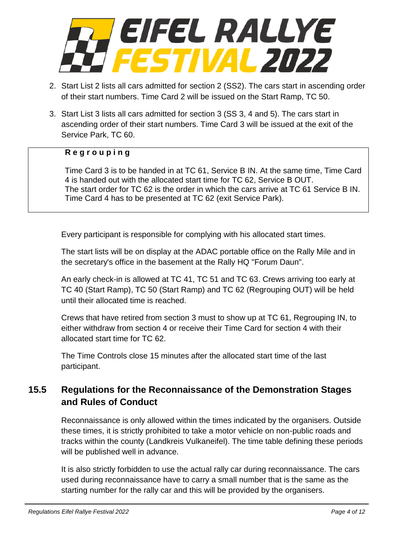

- 2. Start List 2 lists all cars admitted for section 2 (SS2). The cars start in ascending order of their start numbers. Time Card 2 will be issued on the Start Ramp, TC 50.
- 3. Start List 3 lists all cars admitted for section 3 (SS 3, 4 and 5). The cars start in ascending order of their start numbers. Time Card 3 will be issued at the exit of the Service Park, TC 60.

#### **R e g r o u p i n g**

Time Card 3 is to be handed in at TC 61, Service B IN. At the same time, Time Card 4 is handed out with the allocated start time for TC 62, Service B OUT. The start order for TC 62 is the order in which the cars arrive at TC 61 Service B IN. Time Card 4 has to be presented at TC 62 (exit Service Park).

Every participant is responsible for complying with his allocated start times.

The start lists will be on display at the ADAC portable office on the Rally Mile and in the secretary's office in the basement at the Rally HQ "Forum Daun".

An early check-in is allowed at TC 41, TC 51 and TC 63. Crews arriving too early at TC 40 (Start Ramp), TC 50 (Start Ramp) and TC 62 (Regrouping OUT) will be held until their allocated time is reached.

Crews that have retired from section 3 must to show up at TC 61, Regrouping IN, to either withdraw from section 4 or receive their Time Card for section 4 with their allocated start time for TC 62.

The Time Controls close 15 minutes after the allocated start time of the last participant.

# **15.5 Regulations for the Reconnaissance of the Demonstration Stages and Rules of Conduct**

Reconnaissance is only allowed within the times indicated by the organisers. Outside these times, it is strictly prohibited to take a motor vehicle on non-public roads and tracks within the county (Landkreis Vulkaneifel). The time table defining these periods will be published well in advance.

It is also strictly forbidden to use the actual rally car during reconnaissance. The cars used during reconnaissance have to carry a small number that is the same as the starting number for the rally car and this will be provided by the organisers.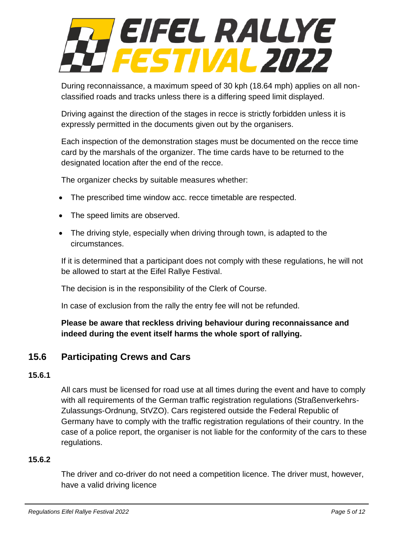# EIFEL RALLYE **FESTIVAL 2022**

During reconnaissance, a maximum speed of 30 kph (18.64 mph) applies on all nonclassified roads and tracks unless there is a differing speed limit displayed.

Driving against the direction of the stages in recce is strictly forbidden unless it is expressly permitted in the documents given out by the organisers.

Each inspection of the demonstration stages must be documented on the recce time card by the marshals of the organizer. The time cards have to be returned to the designated location after the end of the recce.

The organizer checks by suitable measures whether:

- The prescribed time window acc. recce timetable are respected.
- The speed limits are observed.
- The driving style, especially when driving through town, is adapted to the circumstances.

If it is determined that a participant does not comply with these regulations, he will not be allowed to start at the Eifel Rallye Festival.

The decision is in the responsibility of the Clerk of Course.

In case of exclusion from the rally the entry fee will not be refunded.

**Please be aware that reckless driving behaviour during reconnaissance and indeed during the event itself harms the whole sport of rallying.**

# **15.6 Participating Crews and Cars**

#### **15.6.1**

All cars must be licensed for road use at all times during the event and have to comply with all requirements of the German traffic registration regulations (Straßenverkehrs-Zulassungs-Ordnung, StVZO). Cars registered outside the Federal Republic of Germany have to comply with the traffic registration regulations of their country. In the case of a police report, the organiser is not liable for the conformity of the cars to these regulations.

#### **15.6.2**

The driver and co-driver do not need a competition licence. The driver must, however, have a valid driving licence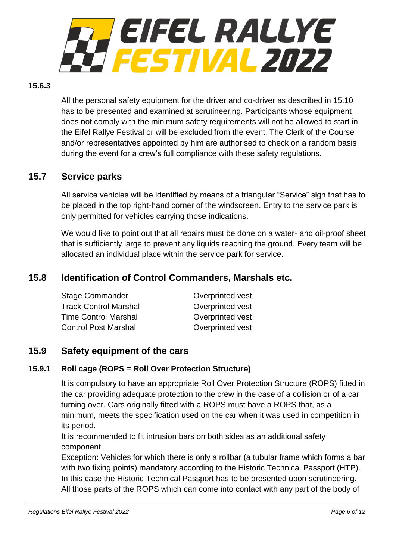

#### **15.6.3**

All the personal safety equipment for the driver and co-driver as described in 15.10 has to be presented and examined at scrutineering. Participants whose equipment does not comply with the minimum safety requirements will not be allowed to start in the Eifel Rallye Festival or will be excluded from the event. The Clerk of the Course and/or representatives appointed by him are authorised to check on a random basis during the event for a crew's full compliance with these safety regulations.

# **15.7 Service parks**

All service vehicles will be identified by means of a triangular "Service" sign that has to be placed in the top right-hand corner of the windscreen. Entry to the service park is only permitted for vehicles carrying those indications.

We would like to point out that all repairs must be done on a water- and oil-proof sheet that is sufficiently large to prevent any liquids reaching the ground. Every team will be allocated an individual place within the service park for service.

# **15.8 Identification of Control Commanders, Marshals etc.**

| <b>Stage Commander</b>       | Overprinted vest |
|------------------------------|------------------|
| <b>Track Control Marshal</b> | Overprinted vest |
| <b>Time Control Marshal</b>  | Overprinted vest |
| <b>Control Post Marshal</b>  | Overprinted vest |

#### **15.9 Safety equipment of the cars**

#### **15.9.1 Roll cage (ROPS = Roll Over Protection Structure)**

It is compulsory to have an appropriate Roll Over Protection Structure (ROPS) fitted in the car providing adequate protection to the crew in the case of a collision or of a car turning over. Cars originally fitted with a ROPS must have a ROPS that, as a minimum, meets the specification used on the car when it was used in competition in its period.

It is recommended to fit intrusion bars on both sides as an additional safety component.

Exception: Vehicles for which there is only a rollbar (a tubular frame which forms a bar with two fixing points) mandatory according to the Historic Technical Passport (HTP). In this case the Historic Technical Passport has to be presented upon scrutineering. All those parts of the ROPS which can come into contact with any part of the body of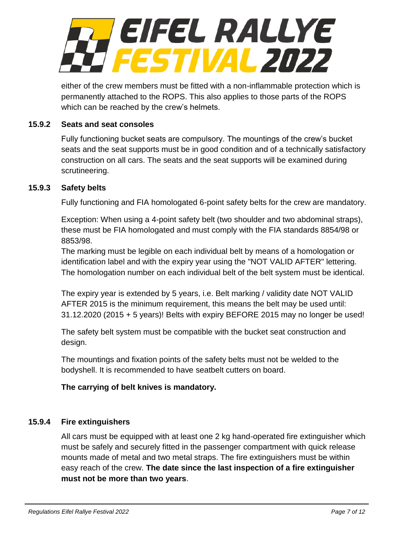

either of the crew members must be fitted with a non-inflammable protection which is permanently attached to the ROPS. This also applies to those parts of the ROPS which can be reached by the crew's helmets.

#### **15.9.2 Seats and seat consoles**

Fully functioning bucket seats are compulsory. The mountings of the crew's bucket seats and the seat supports must be in good condition and of a technically satisfactory construction on all cars. The seats and the seat supports will be examined during scrutineering.

#### **15.9.3 Safety belts**

Fully functioning and FIA homologated 6-point safety belts for the crew are mandatory.

Exception: When using a 4-point safety belt (two shoulder and two abdominal straps), these must be FIA homologated and must comply with the FIA standards 8854/98 or 8853/98.

The marking must be legible on each individual belt by means of a homologation or identification label and with the expiry year using the "NOT VALID AFTER" lettering. The homologation number on each individual belt of the belt system must be identical.

The expiry year is extended by 5 years, i.e. Belt marking / validity date NOT VALID AFTER 2015 is the minimum requirement, this means the belt may be used until: 31.12.2020 (2015 + 5 years)! Belts with expiry BEFORE 2015 may no longer be used!

The safety belt system must be compatible with the bucket seat construction and design.

The mountings and fixation points of the safety belts must not be welded to the bodyshell. It is recommended to have seatbelt cutters on board.

#### **The carrying of belt knives is mandatory.**

#### **15.9.4 Fire extinguishers**

All cars must be equipped with at least one 2 kg hand-operated fire extinguisher which must be safely and securely fitted in the passenger compartment with quick release mounts made of metal and two metal straps. The fire extinguishers must be within easy reach of the crew. **The date since the last inspection of a fire extinguisher must not be more than two years**.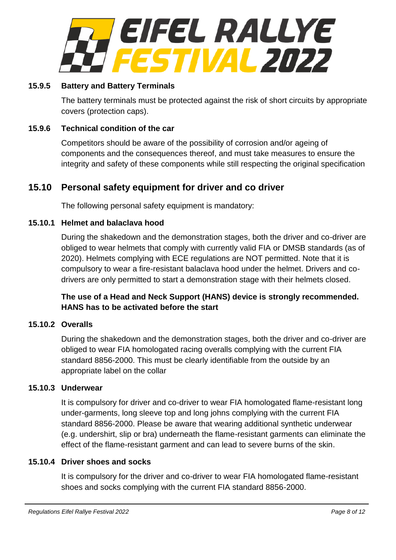

#### **15.9.5 Battery and Battery Terminals**

The battery terminals must be protected against the risk of short circuits by appropriate covers (protection caps).

#### **15.9.6 Technical condition of the car**

Competitors should be aware of the possibility of corrosion and/or ageing of components and the consequences thereof, and must take measures to ensure the integrity and safety of these components while still respecting the original specification

# **15.10 Personal safety equipment for driver and co driver**

The following personal safety equipment is mandatory:

#### **15.10.1 Helmet and balaclava hood**

During the shakedown and the demonstration stages, both the driver and co-driver are obliged to wear helmets that comply with currently valid FIA or DMSB standards (as of 2020). Helmets complying with ECE regulations are NOT permitted. Note that it is compulsory to wear a fire-resistant balaclava hood under the helmet. Drivers and codrivers are only permitted to start a demonstration stage with their helmets closed.

#### **The use of a Head and Neck Support (HANS) device is strongly recommended. HANS has to be activated before the start**

#### **15.10.2 Overalls**

During the shakedown and the demonstration stages, both the driver and co-driver are obliged to wear FIA homologated racing overalls complying with the current FIA standard 8856-2000. This must be clearly identifiable from the outside by an appropriate label on the collar

#### **15.10.3 Underwear**

It is compulsory for driver and co-driver to wear FIA homologated flame-resistant long under-garments, long sleeve top and long johns complying with the current FIA standard 8856-2000. Please be aware that wearing additional synthetic underwear (e.g. undershirt, slip or bra) underneath the flame-resistant garments can eliminate the effect of the flame-resistant garment and can lead to severe burns of the skin.

#### **15.10.4 Driver shoes and socks**

It is compulsory for the driver and co-driver to wear FIA homologated flame-resistant shoes and socks complying with the current FIA standard 8856-2000.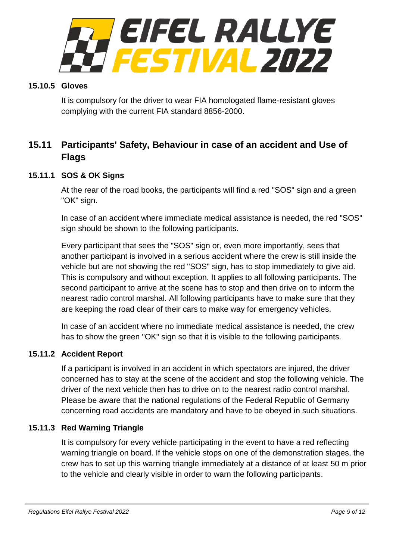

#### **15.10.5 Gloves**

It is compulsory for the driver to wear FIA homologated flame-resistant gloves complying with the current FIA standard 8856-2000.

# **15.11 Participants' Safety, Behaviour in case of an accident and Use of Flags**

#### **15.11.1 SOS & OK Signs**

At the rear of the road books, the participants will find a red "SOS" sign and a green "OK" sign.

In case of an accident where immediate medical assistance is needed, the red "SOS" sign should be shown to the following participants.

Every participant that sees the "SOS" sign or, even more importantly, sees that another participant is involved in a serious accident where the crew is still inside the vehicle but are not showing the red "SOS" sign, has to stop immediately to give aid. This is compulsory and without exception. It applies to all following participants. The second participant to arrive at the scene has to stop and then drive on to inform the nearest radio control marshal. All following participants have to make sure that they are keeping the road clear of their cars to make way for emergency vehicles.

In case of an accident where no immediate medical assistance is needed, the crew has to show the green "OK" sign so that it is visible to the following participants.

#### **15.11.2 Accident Report**

If a participant is involved in an accident in which spectators are injured, the driver concerned has to stay at the scene of the accident and stop the following vehicle. The driver of the next vehicle then has to drive on to the nearest radio control marshal. Please be aware that the national regulations of the Federal Republic of Germany concerning road accidents are mandatory and have to be obeyed in such situations.

#### **15.11.3 Red Warning Triangle**

It is compulsory for every vehicle participating in the event to have a red reflecting warning triangle on board. If the vehicle stops on one of the demonstration stages, the crew has to set up this warning triangle immediately at a distance of at least 50 m prior to the vehicle and clearly visible in order to warn the following participants.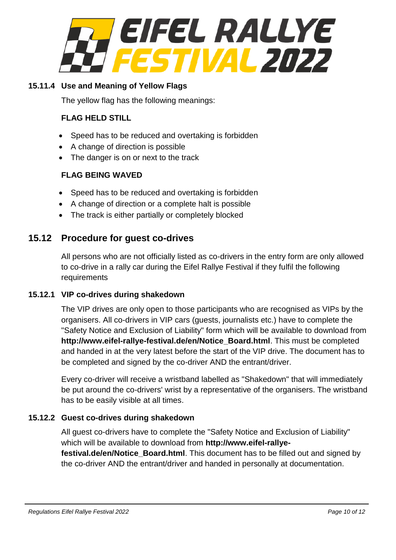

#### **15.11.4 Use and Meaning of Yellow Flags**

The yellow flag has the following meanings:

#### **FLAG HELD STILL**

- Speed has to be reduced and overtaking is forbidden
- A change of direction is possible
- The danger is on or next to the track

#### **FLAG BEING WAVED**

- Speed has to be reduced and overtaking is forbidden
- A change of direction or a complete halt is possible
- The track is either partially or completely blocked

#### **15.12 Procedure for guest co-drives**

All persons who are not officially listed as co-drivers in the entry form are only allowed to co-drive in a rally car during the Eifel Rallye Festival if they fulfil the following requirements

#### **15.12.1 VIP co-drives during shakedown**

The VIP drives are only open to those participants who are recognised as VIPs by the organisers. All co-drivers in VIP cars (guests, journalists etc.) have to complete the "Safety Notice and Exclusion of Liability" form which will be available to download from **http://www.eifel-rallye-festival.de/en/Notice\_Board.html**. This must be completed and handed in at the very latest before the start of the VIP drive. The document has to be completed and signed by the co-driver AND the entrant/driver.

Every co-driver will receive a wristband labelled as "Shakedown" that will immediately be put around the co-drivers' wrist by a representative of the organisers. The wristband has to be easily visible at all times.

#### **15.12.2 Guest co-drives during shakedown**

All guest co-drivers have to complete the "Safety Notice and Exclusion of Liability" which will be available to download from **http://www.eifel-rallyefestival.de/en/Notice\_Board.html**. This document has to be filled out and signed by the co-driver AND the entrant/driver and handed in personally at documentation.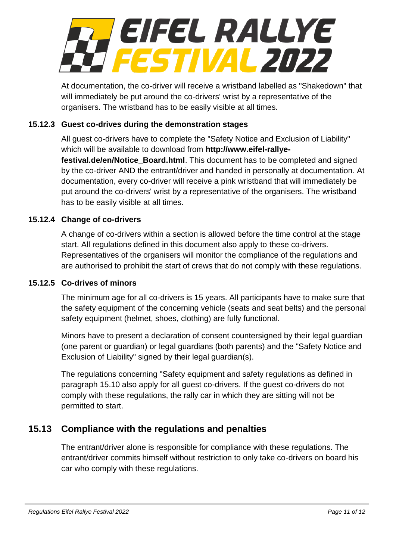

At documentation, the co-driver will receive a wristband labelled as "Shakedown" that will immediately be put around the co-drivers' wrist by a representative of the organisers. The wristband has to be easily visible at all times.

#### **15.12.3 Guest co-drives during the demonstration stages**

All guest co-drivers have to complete the "Safety Notice and Exclusion of Liability" which will be available to download from **http://www.eifel-rallye-**

**festival.de/en/Notice\_Board.html**. This document has to be completed and signed by the co-driver AND the entrant/driver and handed in personally at documentation. At documentation, every co-driver will receive a pink wristband that will immediately be put around the co-drivers' wrist by a representative of the organisers. The wristband has to be easily visible at all times.

#### **15.12.4 Change of co-drivers**

A change of co-drivers within a section is allowed before the time control at the stage start. All regulations defined in this document also apply to these co-drivers. Representatives of the organisers will monitor the compliance of the regulations and are authorised to prohibit the start of crews that do not comply with these regulations.

#### **15.12.5 Co-drives of minors**

The minimum age for all co-drivers is 15 years. All participants have to make sure that the safety equipment of the concerning vehicle (seats and seat belts) and the personal safety equipment (helmet, shoes, clothing) are fully functional.

Minors have to present a declaration of consent countersigned by their legal guardian (one parent or guardian) or legal guardians (both parents) and the "Safety Notice and Exclusion of Liability" signed by their legal guardian(s).

The regulations concerning "Safety equipment and safety regulations as defined in paragraph 15.10 also apply for all guest co-drivers. If the guest co-drivers do not comply with these regulations, the rally car in which they are sitting will not be permitted to start.

# **15.13 Compliance with the regulations and penalties**

The entrant/driver alone is responsible for compliance with these regulations. The entrant/driver commits himself without restriction to only take co-drivers on board his car who comply with these regulations.